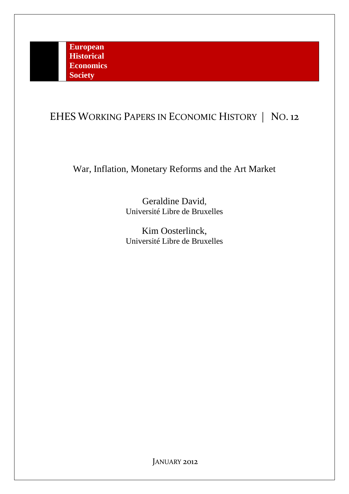# EHES WORKING PAPERS IN ECONOMIC HISTORY | NO. 12

War, Inflation, Monetary Reforms and the Art Market

Geraldine David, Université Libre de Bruxelles

Kim Oosterlinck, Université Libre de Bruxelles

JANUARY 2012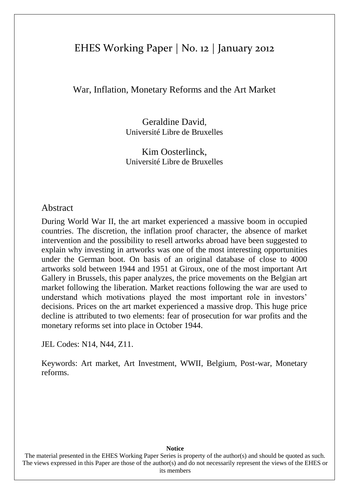# EHES Working Paper | No. 12 | January 2012

War, Inflation, Monetary Reforms and the Art Market

Geraldine David, Université Libre de Bruxelles

Kim Oosterlinck, Université Libre de Bruxelles

# Abstract

During World War II, the art market experienced a massive boom in occupied countries. The discretion, the inflation proof character, the absence of market intervention and the possibility to resell artworks abroad have been suggested to explain why investing in artworks was one of the most interesting opportunities under the German boot. On basis of an original database of close to 4000 artworks sold between 1944 and 1951 at Giroux, one of the most important Art Gallery in Brussels, this paper analyzes, the price movements on the Belgian art market following the liberation. Market reactions following the war are used to understand which motivations played the most important role in investors' decisions. Prices on the art market experienced a massive drop. This huge price decline is attributed to two elements: fear of prosecution for war profits and the monetary reforms set into place in October 1944.

JEL Codes: N14, N44, Z11.

Keywords: Art market, Art Investment, WWII, Belgium, Post-war, Monetary reforms.

### **Notice**

The material presented in the EHES Working Paper Series is property of the author(s) and should be quoted as such. The views expressed in this Paper are those of the author(s) and do not necessarily represent the views of the EHES or its members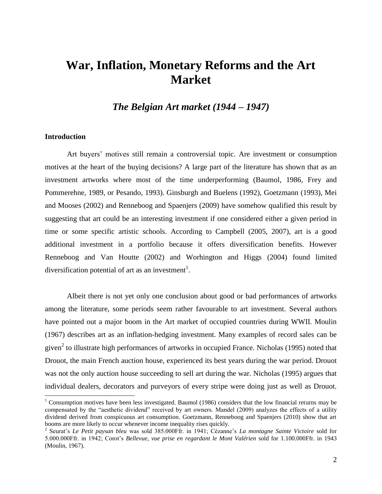# **War, Inflation, Monetary Reforms and the Art Market**

*The Belgian Art market (1944 – 1947)*

#### **Introduction**

Art buyers' motives still remain a controversial topic. Are investment or consumption motives at the heart of the buying decisions? A large part of the literature has shown that as an investment artworks where most of the time underperforming (Baumol, 1986, Frey and Pommerehne, 1989, or Pesando, 1993). Ginsburgh and Buelens (1992), Goetzmann (1993), Mei and Mooses (2002) and Renneboog and Spaenjers (2009) have somehow qualified this result by suggesting that art could be an interesting investment if one considered either a given period in time or some specific artistic schools. According to Campbell (2005, 2007), art is a good additional investment in a portfolio because it offers diversification benefits. However Renneboog and Van Houtte (2002) and Worhington and Higgs (2004) found limited diversification potential of art as an investment<sup>1</sup>.

Albeit there is not yet only one conclusion about good or bad performances of artworks among the literature, some periods seem rather favourable to art investment. Several authors have pointed out a major boom in the Art market of occupied countries during WWII. Moulin (1967) describes art as an inflation-hedging investment. Many examples of record sales can be given<sup>2</sup> to illustrate high performances of artworks in occupied France. Nicholas (1995) noted that Drouot, the main French auction house, experienced its best years during the war period. Drouot was not the only auction house succeeding to sell art during the war. Nicholas (1995) argues that individual dealers, decorators and purveyors of every stripe were doing just as well as Drouot.

 $1$  Consumption motives have been less investigated. Baumol (1986) considers that the low financial returns may be compensated by the "aesthetic dividend" received by art owners. Mandel (2009) analyzes the effects of a utility dividend derived from conspicuous art consumption. Goetzmann, Renneboog and Spaenjers (2010) show that art booms are more likely to occur whenever income inequality rises quickly.

<sup>2</sup> Seurat's *Le Petit paysan bleu* was sold 385.000Ffr. in 1941; Cézanne's *La montagne Sainte Victoire* sold for 5.000.000Ffr. in 1942; Corot's *Bellevue, vue prise en regardant le Mont Valérien* sold for 1.100.000Ffr. in 1943 (Moulin, 1967).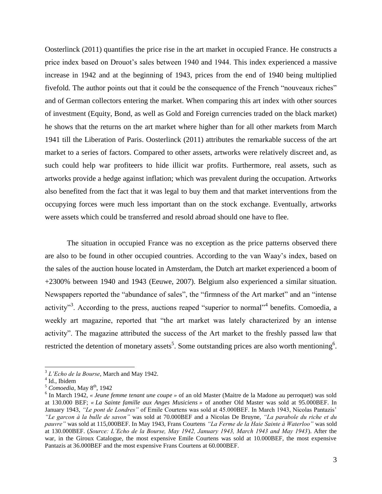Oosterlinck (2011) quantifies the price rise in the art market in occupied France. He constructs a price index based on Drouot's sales between 1940 and 1944. This index experienced a massive increase in 1942 and at the beginning of 1943, prices from the end of 1940 being multiplied fivefold. The author points out that it could be the consequence of the French "nouveaux riches" and of German collectors entering the market. When comparing this art index with other sources of investment (Equity, Bond, as well as Gold and Foreign currencies traded on the black market) he shows that the returns on the art market where higher than for all other markets from March 1941 till the Liberation of Paris. Oosterlinck (2011) attributes the remarkable success of the art market to a series of factors. Compared to other assets, artworks were relatively discreet and, as such could help war profiteers to hide illicit war profits. Furthermore, real assets, such as artworks provide a hedge against inflation; which was prevalent during the occupation. Artworks also benefited from the fact that it was legal to buy them and that market interventions from the occupying forces were much less important than on the stock exchange. Eventually, artworks were assets which could be transferred and resold abroad should one have to flee.

The situation in occupied France was no exception as the price patterns observed there are also to be found in other occupied countries. According to the van Waay's index, based on the sales of the auction house located in Amsterdam, the Dutch art market experienced a boom of +2300% between 1940 and 1943 (Eeuwe, 2007). Belgium also experienced a similar situation. Newspapers reported the "abundance of sales", the "firmness of the Art market" and an "intense activity"<sup>3</sup>. According to the press, auctions reaped "superior to normal"<sup>4</sup> benefits. Comoedia, a weekly art magazine, reported that "the art market was lately characterized by an intense activity". The magazine attributed the success of the Art market to the freshly passed law that restricted the detention of monetary assets<sup>5</sup>. Some outstanding prices are also worth mentioning<sup>6</sup>.

 $\overline{a}$ 

<sup>3</sup> *L'Echo de la Bourse*, March and May 1942.

<sup>4</sup> Id., Ibidem

 $<sup>5</sup>$  *Comoedia*, May  $8<sup>th</sup>$ , 1942</sup>

<sup>6</sup> In March 1942, *« Jeune femme tenant une coupe »* of an old Master (Maitre de la Madone au perroquet) was sold at 130.000 BEF; *« La Sainte famille aux Anges Musiciens »* of another Old Master was sold at 95.000BEF. In January 1943, *"Le pont de Londres"* of Emile Courtens was sold at 45.000BEF. In March 1943, Nicolas Pantazis' *"Le garcon à la bulle de savon"* was sold at 70.000BEF and a Nicolas De Bruyne, *"La parabole du riche et du pauvre"* was sold at 115,000BEF. In May 1943, Frans Courtens *"La Ferme de la Haie Sainte à Waterloo"* was sold at 130.000BEF. (*Source: L'Echo de la Bourse, May 1942, January 1943, March 1943 and May 1943*). After the war, in the Giroux Catalogue, the most expensive Emile Courtens was sold at 10.000BEF, the most expensive Pantazis at 36.000BEF and the most expensive Frans Courtens at 60.000BEF.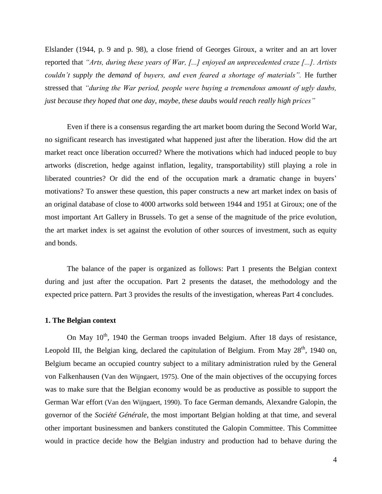Elslander (1944, p. 9 and p. 98), a close friend of Georges Giroux, a writer and an art lover reported that *"Arts, during these years of War, [...] enjoyed an unprecedented craze [...]. Artists couldn't supply the demand of buyers, and even feared a shortage of materials".* He further stressed that *"during the War period, people were buying a tremendous amount of ugly daubs, just because they hoped that one day, maybe, these daubs would reach really high prices"*

Even if there is a consensus regarding the art market boom during the Second World War, no significant research has investigated what happened just after the liberation. How did the art market react once liberation occurred? Where the motivations which had induced people to buy artworks (discretion, hedge against inflation, legality, transportability) still playing a role in liberated countries? Or did the end of the occupation mark a dramatic change in buyers' motivations? To answer these question, this paper constructs a new art market index on basis of an original database of close to 4000 artworks sold between 1944 and 1951 at Giroux; one of the most important Art Gallery in Brussels. To get a sense of the magnitude of the price evolution, the art market index is set against the evolution of other sources of investment, such as equity and bonds.

The balance of the paper is organized as follows: Part 1 presents the Belgian context during and just after the occupation. Part 2 presents the dataset, the methodology and the expected price pattern. Part 3 provides the results of the investigation, whereas Part 4 concludes.

#### **1. The Belgian context**

On May  $10^{th}$ , 1940 the German troops invaded Belgium. After 18 days of resistance, Leopold III, the Belgian king, declared the capitulation of Belgium. From May  $28<sup>th</sup>$ , 1940 on, Belgium became an occupied country subject to a military administration ruled by the General von Falkenhausen (Van den Wijngaert, 1975). One of the main objectives of the occupying forces was to make sure that the Belgian economy would be as productive as possible to support the German War effort (Van den Wijngaert, 1990). To face German demands, Alexandre Galopin, the governor of the *Société Générale*, the most important Belgian holding at that time, and several other important businessmen and bankers constituted the Galopin Committee. This Committee would in practice decide how the Belgian industry and production had to behave during the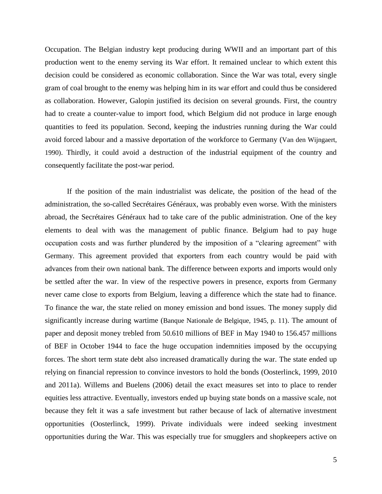Occupation. The Belgian industry kept producing during WWII and an important part of this production went to the enemy serving its War effort. It remained unclear to which extent this decision could be considered as economic collaboration. Since the War was total, every single gram of coal brought to the enemy was helping him in its war effort and could thus be considered as collaboration. However, Galopin justified its decision on several grounds. First, the country had to create a counter-value to import food, which Belgium did not produce in large enough quantities to feed its population. Second, keeping the industries running during the War could avoid forced labour and a massive deportation of the workforce to Germany (Van den Wijngaert, 1990). Thirdly, it could avoid a destruction of the industrial equipment of the country and consequently facilitate the post-war period.

If the position of the main industrialist was delicate, the position of the head of the administration, the so-called Secrétaires Généraux, was probably even worse. With the ministers abroad, the Secrétaires Généraux had to take care of the public administration. One of the key elements to deal with was the management of public finance. Belgium had to pay huge occupation costs and was further plundered by the imposition of a "clearing agreement" with Germany. This agreement provided that exporters from each country would be paid with advances from their own national bank. The difference between exports and imports would only be settled after the war. In view of the respective powers in presence, exports from Germany never came close to exports from Belgium, leaving a difference which the state had to finance. To finance the war, the state relied on money emission and bond issues. The money supply did significantly increase during wartime (Banque Nationale de Belgique, 1945, p. 11). The amount of paper and deposit money trebled from 50.610 millions of BEF in May 1940 to 156.457 millions of BEF in October 1944 to face the huge occupation indemnities imposed by the occupying forces. The short term state debt also increased dramatically during the war. The state ended up relying on financial repression to convince investors to hold the bonds (Oosterlinck, 1999, 2010 and 2011a). Willems and Buelens (2006) detail the exact measures set into to place to render equities less attractive. Eventually, investors ended up buying state bonds on a massive scale, not because they felt it was a safe investment but rather because of lack of alternative investment opportunities (Oosterlinck, 1999). Private individuals were indeed seeking investment opportunities during the War. This was especially true for smugglers and shopkeepers active on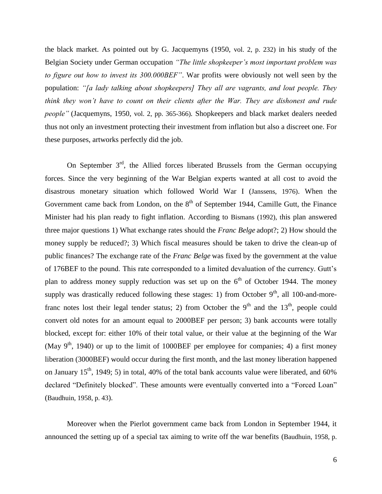the black market. As pointed out by G. Jacquemyns (1950, vol. 2, p. 232) in his study of the Belgian Society under German occupation *"The little shopkeeper's most important problem was to figure out how to invest its 300.000BEF"*. War profits were obviously not well seen by the population: *"[a lady talking about shopkeepers] They all are vagrants, and lout people. They think they won't have to count on their clients after the War. They are dishonest and rude people"* (Jacquemyns, 1950, vol. 2, pp. 365-366)*.* Shopkeepers and black market dealers needed thus not only an investment protecting their investment from inflation but also a discreet one. For these purposes, artworks perfectly did the job.

On September  $3<sup>rd</sup>$ , the Allied forces liberated Brussels from the German occupying forces. Since the very beginning of the War Belgian experts wanted at all cost to avoid the disastrous monetary situation which followed World War I (Janssens, 1976). When the Government came back from London, on the  $8<sup>th</sup>$  of September 1944, Camille Gutt, the Finance Minister had his plan ready to fight inflation. According to Bismans (1992), this plan answered three major questions 1) What exchange rates should the *Franc Belge* adopt?; 2) How should the money supply be reduced?; 3) Which fiscal measures should be taken to drive the clean-up of public finances? The exchange rate of the *Franc Belge* was fixed by the government at the value of 176BEF to the pound. This rate corresponded to a limited devaluation of the currency. Gutt's plan to address money supply reduction was set up on the  $6<sup>th</sup>$  of October 1944. The money supply was drastically reduced following these stages: 1) from October  $9<sup>th</sup>$ , all 100-and-morefranc notes lost their legal tender status; 2) from October the  $9<sup>th</sup>$  and the 13<sup>th</sup>, people could convert old notes for an amount equal to 2000BEF per person; 3) bank accounts were totally blocked, except for: either 10% of their total value, or their value at the beginning of the War (May  $9<sup>th</sup>$ , 1940) or up to the limit of 1000BEF per employee for companies; 4) a first money liberation (3000BEF) would occur during the first month, and the last money liberation happened on January  $15<sup>th</sup>$ , 1949; 5) in total, 40% of the total bank accounts value were liberated, and 60% declared "Definitely blocked". These amounts were eventually converted into a "Forced Loan" (Baudhuin, 1958, p. 43).

Moreover when the Pierlot government came back from London in September 1944, it announced the setting up of a special tax aiming to write off the war benefits (Baudhuin, 1958, p.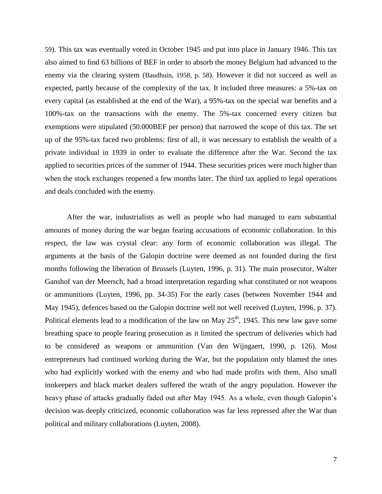59). This tax was eventually voted in October 1945 and put into place in January 1946. This tax also aimed to find 63 billions of BEF in order to absorb the money Belgium had advanced to the enemy via the clearing system (Baudhuin, 1958, p. 58). However it did not succeed as well as expected, partly because of the complexity of the tax. It included three measures: a 5%-tax on every capital (as established at the end of the War), a 95%-tax on the special war benefits and a 100%-tax on the transactions with the enemy. The 5%-tax concerned every citizen but exemptions were stipulated (50.000BEF per person) that narrowed the scope of this tax. The set up of the 95%-tax faced two problems: first of all, it was necessary to establish the wealth of a private individual in 1939 in order to evaluate the difference after the War. Second the tax applied to securities prices of the summer of 1944. These securities prices were much higher than when the stock exchanges reopened a few months later. The third tax applied to legal operations and deals concluded with the enemy.

After the war, industrialists as well as people who had managed to earn substantial amounts of money during the war began fearing accusations of economic collaboration. In this respect, the law was crystal clear: any form of economic collaboration was illegal. The arguments at the basis of the Galopin doctrine were deemed as not founded during the first months following the liberation of Brussels (Luyten, 1996, p. 31). The main prosecutor, Walter Ganshof van der Meersch, had a broad interpretation regarding what constituted or not weapons or ammunitions (Luyten, 1996, pp. 34-35) For the early cases (between November 1944 and May 1945), defences based on the Galopin doctrine well not well received (Luyten, 1996, p. 37). Political elements lead to a modification of the law on May  $25<sup>th</sup>$ , 1945. This new law gave some breathing space to people fearing prosecution as it limited the spectrum of deliveries which had to be considered as weapons or ammunition (Van den Wijngaert, 1990, p. 126). Most entrepreneurs had continued working during the War, but the population only blamed the ones who had explicitly worked with the enemy and who had made profits with them. Also small innkeepers and black market dealers suffered the wrath of the angry population. However the heavy phase of attacks gradually faded out after May 1945. As a whole, even though Galopin's decision was deeply criticized, economic collaboration was far less repressed after the War than political and military collaborations (Luyten, 2008).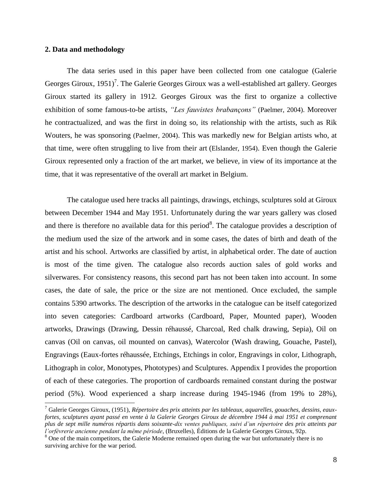#### **2. Data and methodology**

 $\overline{a}$ 

The data series used in this paper have been collected from one catalogue (Galerie Georges Giroux,  $1951$ <sup>7</sup>. The Galerie Georges Giroux was a well-established art gallery. Georges Giroux started its gallery in 1912. Georges Giroux was the first to organize a collective exhibition of some famous-to-be artists, *"Les fauvistes brabançons"* (Paelmer, 2004). Moreover he contractualized, and was the first in doing so, its relationship with the artists, such as Rik Wouters, he was sponsoring (Paelmer, 2004). This was markedly new for Belgian artists who, at that time, were often struggling to live from their art (Elslander, 1954). Even though the Galerie Giroux represented only a fraction of the art market, we believe, in view of its importance at the time, that it was representative of the overall art market in Belgium.

The catalogue used here tracks all paintings, drawings, etchings, sculptures sold at Giroux between December 1944 and May 1951. Unfortunately during the war years gallery was closed and there is therefore no available data for this period<sup>8</sup>. The catalogue provides a description of the medium used the size of the artwork and in some cases, the dates of birth and death of the artist and his school. Artworks are classified by artist, in alphabetical order. The date of auction is most of the time given. The catalogue also records auction sales of gold works and silverwares. For consistency reasons, this second part has not been taken into account. In some cases, the date of sale, the price or the size are not mentioned. Once excluded, the sample contains 5390 artworks. The description of the artworks in the catalogue can be itself categorized into seven categories: Cardboard artworks (Cardboard, Paper, Mounted paper), Wooden artworks, Drawings (Drawing, Dessin réhaussé, Charcoal, Red chalk drawing, Sepia), Oil on canvas (Oil on canvas, oil mounted on canvas), Watercolor (Wash drawing, Gouache, Pastel), Engravings (Eaux-fortes réhaussée, Etchings, Etchings in color, Engravings in color, Lithograph, Lithograph in color, Monotypes, Phototypes) and Sculptures. Appendix I provides the proportion of each of these categories. The proportion of cardboards remained constant during the postwar period (5%). Wood experienced a sharp increase during 1945-1946 (from 19% to 28%),

<sup>7</sup> Galerie Georges Giroux, (1951), *Répertoire des prix atteints par les tableaux, aquarelles, gouaches, dessins, eauxfortes, sculptures ayant passé en vente à la Galerie Georges Giroux de décembre 1944 à mai 1951 et comprenant plus de sept mille numéros répartis dans soixante-dix ventes publiques, suivi d'un répertoire des prix atteints par l'orfèvrerie ancienne pendant la même période*, (Bruxelles), Éditions de la Galerie Georges Giroux, 92p.

<sup>&</sup>lt;sup>8</sup> One of the main competitors, the Galerie Moderne remained open during the war but unfortunately there is no surviving archive for the war period.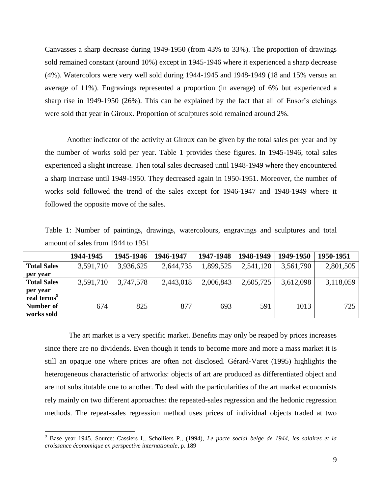Canvasses a sharp decrease during 1949-1950 (from 43% to 33%). The proportion of drawings sold remained constant (around 10%) except in 1945-1946 where it experienced a sharp decrease (4%). Watercolors were very well sold during 1944-1945 and 1948-1949 (18 and 15% versus an average of 11%). Engravings represented a proportion (in average) of 6% but experienced a sharp rise in 1949-1950 (26%). This can be explained by the fact that all of Ensor's etchings were sold that year in Giroux. Proportion of sculptures sold remained around 2%.

Another indicator of the activity at Giroux can be given by the total sales per year and by the number of works sold per year. Table 1 provides these figures. In 1945-1946, total sales experienced a slight increase. Then total sales decreased until 1948-1949 where they encountered a sharp increase until 1949-1950. They decreased again in 1950-1951. Moreover, the number of works sold followed the trend of the sales except for 1946-1947 and 1948-1949 where it followed the opposite move of the sales.

Table 1: Number of paintings, drawings, watercolours, engravings and sculptures and total amount of sales from 1944 to 1951

|                                     | 1944-1945 | 1945-1946 | 1946-1947 | 1947-1948 | 1948-1949 | 1949-1950 | 1950-1951 |
|-------------------------------------|-----------|-----------|-----------|-----------|-----------|-----------|-----------|
| <b>Total Sales</b>                  | 3,591,710 | 3,936,625 | 2,644,735 | 1,899,525 | 2,541,120 | 3,561,790 | 2,801,505 |
| per vear                            |           |           |           |           |           |           |           |
| <b>Total Sales</b>                  | 3,591,710 | 3,747,578 | 2,443,018 | 2,006,843 | 2,605,725 | 3,612,098 | 3,118,059 |
| per year<br>real terms <sup>9</sup> |           |           |           |           |           |           |           |
| Number of                           | 674       | 825       | 877       | 693       | 591       | 1013      | 725       |
| works sold                          |           |           |           |           |           |           |           |

The art market is a very specific market. Benefits may only be reaped by prices increases since there are no dividends. Even though it tends to become more and more a mass market it is still an opaque one where prices are often not disclosed. Gérard-Varet (1995) highlights the heterogeneous characteristic of artworks: objects of art are produced as differentiated object and are not substitutable one to another. To deal with the particularities of the art market economists rely mainly on two different approaches: the repeated-sales regression and the hedonic regression methods. The repeat-sales regression method uses prices of individual objects traded at two

<sup>9</sup> Base year 1945. Source: Cassiers I., Scholliers P., (1994), *Le pacte social belge de 1944, les salaires et la croissance économique en perspective internationale*, p. 189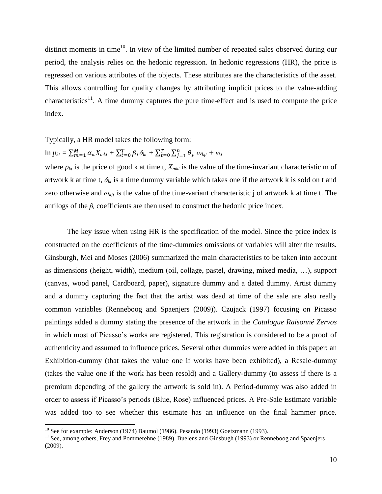distinct moments in time<sup>10</sup>. In view of the limited number of repeated sales observed during our period, the analysis relies on the hedonic regression. In hedonic regressions (HR), the price is regressed on various attributes of the objects. These attributes are the characteristics of the asset. This allows controlling for quality changes by attributing implicit prices to the value-adding characteristics<sup>11</sup>. A time dummy captures the pure time-effect and is used to compute the price index.

Typically, a HR model takes the following form:

$$
\ln p_{kt} = \sum_{m=1}^{M} \alpha_m X_{mkt} + \sum_{t=0}^{T} \beta_t \delta_{kt} + \sum_{t=0}^{T} \sum_{j=1}^{n} \theta_{jt} \omega_{kjt} + \varepsilon_{kt}
$$

where  $p_{kt}$  is the price of good k at time t,  $X_{mkt}$  is the value of the time-invariant characteristic m of artwork k at time t,  $\delta_{kt}$  is a time dummy variable which takes one if the artwork k is sold on t and zero otherwise and  $\omega_{kit}$  is the value of the time-variant characteristic j of artwork k at time t. The antilogs of the  $\beta_t$  coefficients are then used to construct the hedonic price index.

The key issue when using HR is the specification of the model. Since the price index is constructed on the coefficients of the time-dummies omissions of variables will alter the results. Ginsburgh, Mei and Moses (2006) summarized the main characteristics to be taken into account as dimensions (height, width), medium (oil, collage, pastel, drawing, mixed media, …), support (canvas, wood panel, Cardboard, paper), signature dummy and a dated dummy. Artist dummy and a dummy capturing the fact that the artist was dead at time of the sale are also really common variables (Renneboog and Spaenjers (2009)). Czujack (1997) focusing on Picasso paintings added a dummy stating the presence of the artwork in the *Catalogue Raisonné Zervos* in which most of Picasso's works are registered. This registration is considered to be a proof of authenticity and assumed to influence prices. Several other dummies were added in this paper: an Exhibition-dummy (that takes the value one if works have been exhibited), a Resale-dummy (takes the value one if the work has been resold) and a Gallery-dummy (to assess if there is a premium depending of the gallery the artwork is sold in). A Period-dummy was also added in order to assess if Picasso's periods (Blue, Rose) influenced prices. A Pre-Sale Estimate variable was added too to see whether this estimate has an influence on the final hammer price.

 $\overline{a}$ 

<sup>&</sup>lt;sup>10</sup> See for example: Anderson (1974) Baumol (1986). Pesando (1993) Goetzmann (1993).

<sup>&</sup>lt;sup>11</sup> See, among others, Frey and Pommerehne (1989), Buelens and Ginsbugh (1993) or Renneboog and Spaenjers (2009).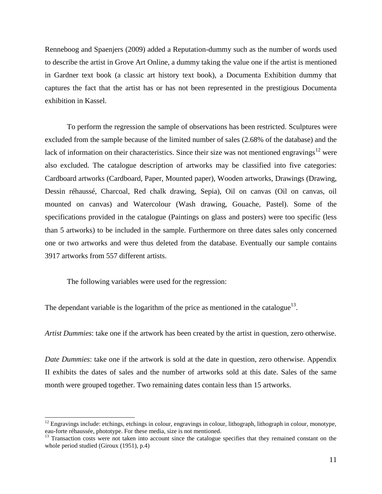Renneboog and Spaenjers (2009) added a Reputation-dummy such as the number of words used to describe the artist in Grove Art Online, a dummy taking the value one if the artist is mentioned in Gardner text book (a classic art history text book), a Documenta Exhibition dummy that captures the fact that the artist has or has not been represented in the prestigious Documenta exhibition in Kassel.

To perform the regression the sample of observations has been restricted. Sculptures were excluded from the sample because of the limited number of sales (2.68% of the database) and the lack of information on their characteristics. Since their size was not mentioned engravings<sup>12</sup> were also excluded. The catalogue description of artworks may be classified into five categories: Cardboard artworks (Cardboard, Paper, Mounted paper), Wooden artworks, Drawings (Drawing, Dessin réhaussé, Charcoal, Red chalk drawing, Sepia), Oil on canvas (Oil on canvas, oil mounted on canvas) and Watercolour (Wash drawing, Gouache, Pastel). Some of the specifications provided in the catalogue (Paintings on glass and posters) were too specific (less than 5 artworks) to be included in the sample. Furthermore on three dates sales only concerned one or two artworks and were thus deleted from the database. Eventually our sample contains 3917 artworks from 557 different artists.

The following variables were used for the regression:

The dependant variable is the logarithm of the price as mentioned in the catalogue<sup>13</sup>.

*Artist Dummies*: take one if the artwork has been created by the artist in question, zero otherwise.

*Date Dummies*: take one if the artwork is sold at the date in question, zero otherwise. Appendix II exhibits the dates of sales and the number of artworks sold at this date. Sales of the same month were grouped together. Two remaining dates contain less than 15 artworks.

 $12$  Engravings include: etchings, etchings in colour, engravings in colour, lithograph, lithograph in colour, monotype, eau-forte réhaussée, phototype. For these media, size is not mentioned.

<sup>&</sup>lt;sup>13</sup> Transaction costs were not taken into account since the catalogue specifies that they remained constant on the whole period studied (Giroux (1951), p.4)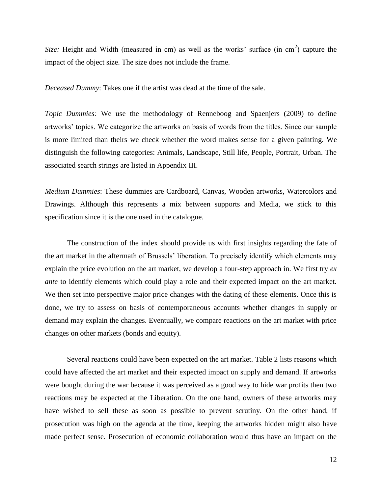Size: Height and Width (measured in cm) as well as the works' surface (in cm<sup>2</sup>) capture the impact of the object size. The size does not include the frame.

*Deceased Dummy*: Takes one if the artist was dead at the time of the sale.

*Topic Dummies:* We use the methodology of Renneboog and Spaenjers (2009) to define artworks' topics. We categorize the artworks on basis of words from the titles. Since our sample is more limited than theirs we check whether the word makes sense for a given painting. We distinguish the following categories: Animals, Landscape, Still life, People, Portrait, Urban. The associated search strings are listed in Appendix III.

*Medium Dummies*: These dummies are Cardboard, Canvas, Wooden artworks, Watercolors and Drawings. Although this represents a mix between supports and Media, we stick to this specification since it is the one used in the catalogue.

The construction of the index should provide us with first insights regarding the fate of the art market in the aftermath of Brussels' liberation. To precisely identify which elements may explain the price evolution on the art market, we develop a four-step approach in. We first try *ex ante* to identify elements which could play a role and their expected impact on the art market. We then set into perspective major price changes with the dating of these elements. Once this is done, we try to assess on basis of contemporaneous accounts whether changes in supply or demand may explain the changes. Eventually, we compare reactions on the art market with price changes on other markets (bonds and equity).

Several reactions could have been expected on the art market. Table 2 lists reasons which could have affected the art market and their expected impact on supply and demand. If artworks were bought during the war because it was perceived as a good way to hide war profits then two reactions may be expected at the Liberation. On the one hand, owners of these artworks may have wished to sell these as soon as possible to prevent scrutiny. On the other hand, if prosecution was high on the agenda at the time, keeping the artworks hidden might also have made perfect sense. Prosecution of economic collaboration would thus have an impact on the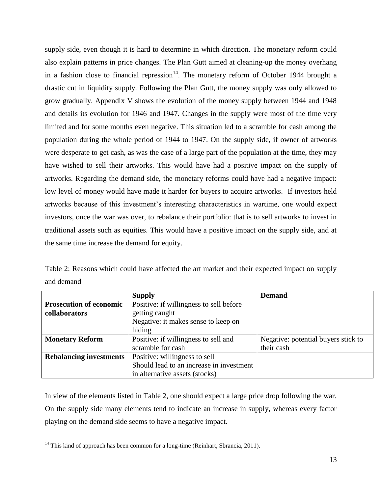supply side, even though it is hard to determine in which direction. The monetary reform could also explain patterns in price changes. The Plan Gutt aimed at cleaning-up the money overhang in a fashion close to financial repression<sup>14</sup>. The monetary reform of October 1944 brought a drastic cut in liquidity supply. Following the Plan Gutt, the money supply was only allowed to grow gradually. Appendix V shows the evolution of the money supply between 1944 and 1948 and details its evolution for 1946 and 1947. Changes in the supply were most of the time very limited and for some months even negative. This situation led to a scramble for cash among the population during the whole period of 1944 to 1947. On the supply side, if owner of artworks were desperate to get cash, as was the case of a large part of the population at the time, they may have wished to sell their artworks. This would have had a positive impact on the supply of artworks. Regarding the demand side, the monetary reforms could have had a negative impact: low level of money would have made it harder for buyers to acquire artworks. If investors held artworks because of this investment's interesting characteristics in wartime, one would expect investors, once the war was over, to rebalance their portfolio: that is to sell artworks to invest in traditional assets such as equities. This would have a positive impact on the supply side, and at the same time increase the demand for equity.

Table 2: Reasons which could have affected the art market and their expected impact on supply and demand

|                                | <b>Supply</b>                            | <b>Demand</b>                       |
|--------------------------------|------------------------------------------|-------------------------------------|
| <b>Prosecution of economic</b> | Positive: if willingness to sell before  |                                     |
| collaborators                  | getting caught                           |                                     |
|                                | Negative: it makes sense to keep on      |                                     |
|                                | hiding                                   |                                     |
| <b>Monetary Reform</b>         | Positive: if willingness to sell and     | Negative: potential buyers stick to |
|                                | scramble for cash                        | their cash                          |
| <b>Rebalancing investments</b> | Positive: willingness to sell            |                                     |
|                                | Should lead to an increase in investment |                                     |
|                                | in alternative assets (stocks)           |                                     |

In view of the elements listed in Table 2, one should expect a large price drop following the war. On the supply side many elements tend to indicate an increase in supply, whereas every factor playing on the demand side seems to have a negative impact.

 $14$  This kind of approach has been common for a long-time (Reinhart, Sbrancia, 2011).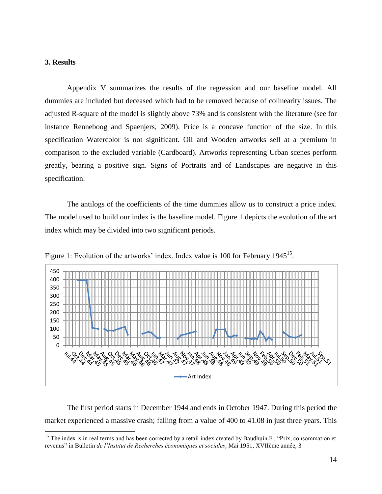### **3. Results**

Appendix V summarizes the results of the regression and our baseline model. All dummies are included but deceased which had to be removed because of colinearity issues. The adjusted R-square of the model is slightly above 73% and is consistent with the literature (see for instance Renneboog and Spaenjers, 2009). Price is a concave function of the size. In this specification Watercolor is not significant. Oil and Wooden artworks sell at a premium in comparison to the excluded variable (Cardboard). Artworks representing Urban scenes perform greatly, bearing a positive sign. Signs of Portraits and of Landscapes are negative in this specification.

The antilogs of the coefficients of the time dummies allow us to construct a price index. The model used to build our index is the baseline model. Figure 1 depicts the evolution of the art index which may be divided into two significant periods.



Figure 1: Evolution of the artworks' index. Index value is 100 for February 1945<sup>15</sup>.

The first period starts in December 1944 and ends in October 1947. During this period the market experienced a massive crash; falling from a value of 400 to 41.08 in just three years. This

<sup>&</sup>lt;sup>15</sup> The index is in real terms and has been corrected by a retail index created by Baudhuin F., "Prix, consommation et revenus" in Bulletin *de l'Institut de Recherches économiques et sociales*, Mai 1951, XVIIème année, 3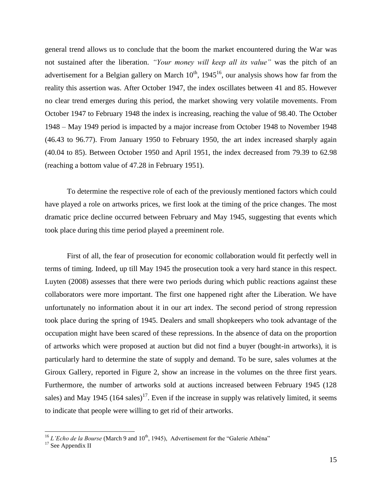general trend allows us to conclude that the boom the market encountered during the War was not sustained after the liberation. *"Your money will keep all its value"* was the pitch of an advertisement for a Belgian gallery on March  $10^{th}$ ,  $1945^{16}$ , our analysis shows how far from the reality this assertion was. After October 1947, the index oscillates between 41 and 85. However no clear trend emerges during this period, the market showing very volatile movements. From October 1947 to February 1948 the index is increasing, reaching the value of 98.40. The October 1948 – May 1949 period is impacted by a major increase from October 1948 to November 1948 (46.43 to 96.77). From January 1950 to February 1950, the art index increased sharply again (40.04 to 85). Between October 1950 and April 1951, the index decreased from 79.39 to 62.98 (reaching a bottom value of 47.28 in February 1951).

To determine the respective role of each of the previously mentioned factors which could have played a role on artworks prices, we first look at the timing of the price changes. The most dramatic price decline occurred between February and May 1945, suggesting that events which took place during this time period played a preeminent role.

First of all, the fear of prosecution for economic collaboration would fit perfectly well in terms of timing. Indeed, up till May 1945 the prosecution took a very hard stance in this respect. Luyten (2008) assesses that there were two periods during which public reactions against these collaborators were more important. The first one happened right after the Liberation. We have unfortunately no information about it in our art index. The second period of strong repression took place during the spring of 1945. Dealers and small shopkeepers who took advantage of the occupation might have been scared of these repressions. In the absence of data on the proportion of artworks which were proposed at auction but did not find a buyer (bought-in artworks), it is particularly hard to determine the state of supply and demand. To be sure, sales volumes at the Giroux Gallery, reported in Figure 2, show an increase in the volumes on the three first years. Furthermore, the number of artworks sold at auctions increased between February 1945 (128 sales) and May 1945 (164 sales)<sup>17</sup>. Even if the increase in supply was relatively limited, it seems to indicate that people were willing to get rid of their artworks.

<sup>&</sup>lt;sup>16</sup> *L'Echo de la Bourse* (March 9 and 10<sup>th</sup>, 1945), Advertisement for the "Galerie Athéna"

 $^{17}$  See Appendix II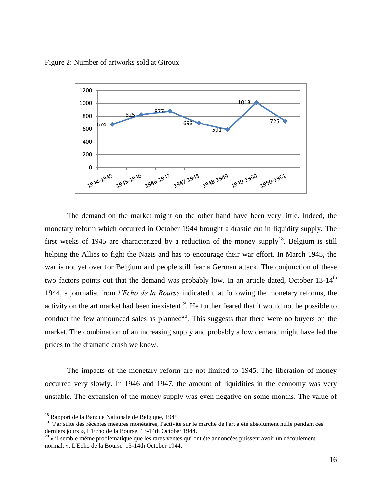Figure 2: Number of artworks sold at Giroux



The demand on the market might on the other hand have been very little. Indeed, the monetary reform which occurred in October 1944 brought a drastic cut in liquidity supply. The first weeks of 1945 are characterized by a reduction of the money supply<sup>18</sup>. Belgium is still helping the Allies to fight the Nazis and has to encourage their war effort. In March 1945, the war is not yet over for Belgium and people still fear a German attack. The conjunction of these two factors points out that the demand was probably low. In an article dated, October 13-14<sup>th</sup> 1944, a journalist from *l'Echo de la Bourse* indicated that following the monetary reforms, the activity on the art market had been inexistent<sup>19</sup>. He further feared that it would not be possible to conduct the few announced sales as planned<sup>20</sup>. This suggests that there were no buyers on the market. The combination of an increasing supply and probably a low demand might have led the prices to the dramatic crash we know.

The impacts of the monetary reform are not limited to 1945. The liberation of money occurred very slowly. In 1946 and 1947, the amount of liquidities in the economy was very unstable. The expansion of the money supply was even negative on some months. The value of

<sup>&</sup>lt;sup>18</sup> Rapport de la Banque Nationale de Belgique, 1945

 $19$  "Par suite des récentes mesures monétaires, l'activité sur le marché de l'art a été absolument nulle pendant ces derniers jours », L'Echo de la Bourse, 13-14th October 1944.<br><sup>20</sup> « il semble même problématique que les rares ventes qui ont été annoncées puissent avoir un découlement

normal. », L'Echo de la Bourse, 13-14th October 1944.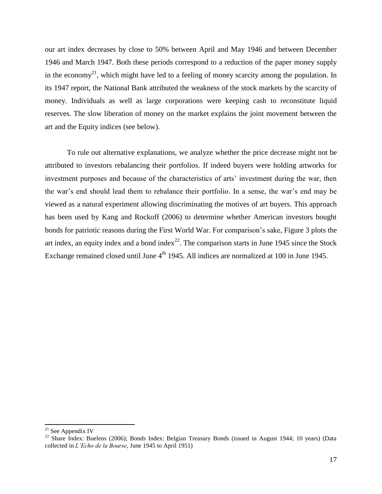our art index decreases by close to 50% between April and May 1946 and between December 1946 and March 1947. Both these periods correspond to a reduction of the paper money supply in the economy<sup>21</sup>, which might have led to a feeling of money scarcity among the population. In its 1947 report, the National Bank attributed the weakness of the stock markets by the scarcity of money. Individuals as well as large corporations were keeping cash to reconstitute liquid reserves. The slow liberation of money on the market explains the joint movement between the art and the Equity indices (see below).

To rule out alternative explanations, we analyze whether the price decrease might not be attributed to investors rebalancing their portfolios. If indeed buyers were holding artworks for investment purposes and because of the characteristics of arts' investment during the war, then the war's end should lead them to rebalance their portfolio. In a sense, the war's end may be viewed as a natural experiment allowing discriminating the motives of art buyers. This approach has been used by Kang and Rockoff (2006) to determine whether American investors bought bonds for patriotic reasons during the First World War. For comparison's sake, Figure 3 plots the art index, an equity index and a bond index<sup>22</sup>. The comparison starts in June 1945 since the Stock Exchange remained closed until June 4<sup>th</sup> 1945. All indices are normalized at 100 in June 1945.

 $\overline{a}$ 

 $21$  See Appendix IV

<sup>&</sup>lt;sup>22</sup> Share Index: Buelens (2006); Bonds Index: Belgian Treasury Bonds (issued in August 1944; 10 years) (Data collected in *L'Echo de la Bourse*, June 1945 to April 1951)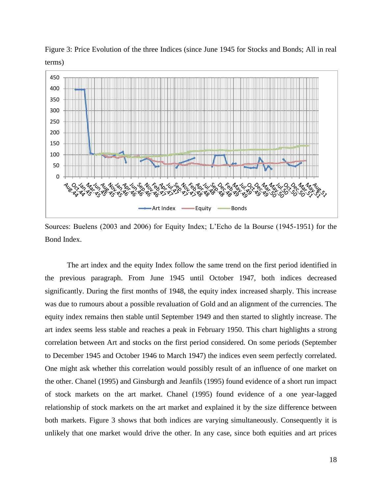

Figure 3: Price Evolution of the three Indices (since June 1945 for Stocks and Bonds; All in real terms)

Sources: Buelens (2003 and 2006) for Equity Index; L'Echo de la Bourse (1945-1951) for the Bond Index.

The art index and the equity Index follow the same trend on the first period identified in the previous paragraph. From June 1945 until October 1947, both indices decreased significantly. During the first months of 1948, the equity index increased sharply. This increase was due to rumours about a possible revaluation of Gold and an alignment of the currencies. The equity index remains then stable until September 1949 and then started to slightly increase. The art index seems less stable and reaches a peak in February 1950. This chart highlights a strong correlation between Art and stocks on the first period considered. On some periods (September to December 1945 and October 1946 to March 1947) the indices even seem perfectly correlated. One might ask whether this correlation would possibly result of an influence of one market on the other. Chanel (1995) and Ginsburgh and Jeanfils (1995) found evidence of a short run impact of stock markets on the art market. Chanel (1995) found evidence of a one year-lagged relationship of stock markets on the art market and explained it by the size difference between both markets. Figure 3 shows that both indices are varying simultaneously. Consequently it is unlikely that one market would drive the other. In any case, since both equities and art prices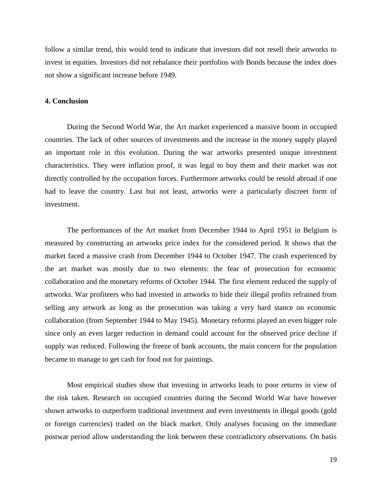follow a similar trend, this would tend to indicate that investors did not resell their artworks to invest in equities. Investors did not rebalance their portfolios with Bonds because the index does not show a significant increase before 1949.

#### **4. Conclusion**

During the Second World War, the Art market experienced a massive boom in occupied countries. The lack of other sources of investments and the increase in the money supply played an important role in this evolution. During the war artworks presented unique investment characteristics. They were inflation proof, it was legal to buy them and their market was not directly controlled by the occupation forces. Furthermore artworks could be resold abroad if one had to leave the country. Last but not least, artworks were a particularly discreet form of investment.

The performances of the Art market from December 1944 to April 1951 in Belgium is measured by constructing an artworks price index for the considered period. It shows that the market faced a massive crash from December 1944 to October 1947. The crash experienced by the art market was mostly due to two elements: the fear of prosecution for economic collaboration and the monetary reforms of October 1944. The first element reduced the supply of artworks. War profiteers who had invested in artworks to hide their illegal profits refrained from selling any artwork as long as the prosecution was taking a very hard stance on economic collaboration (from September 1944 to May 1945). Monetary reforms played an even bigger role since only an even larger reduction in demand could account for the observed price decline if supply was reduced. Following the freeze of bank accounts, the main concern for the population became to manage to get cash for food not for paintings.

Most empirical studies show that investing in artworks leads to poor returns in view of the risk taken. Research on occupied countries during the Second World War have however shown artworks to outperform traditional investment and even investments in illegal goods (gold or foreign currencies) traded on the black market. Only analyses focusing on the immediate postwar period allow understanding the link between these contradictory observations. On basis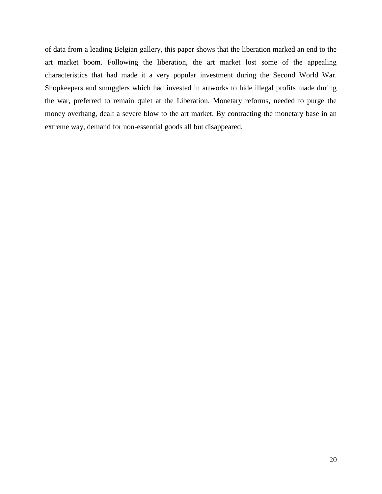of data from a leading Belgian gallery, this paper shows that the liberation marked an end to the art market boom. Following the liberation, the art market lost some of the appealing characteristics that had made it a very popular investment during the Second World War. Shopkeepers and smugglers which had invested in artworks to hide illegal profits made during the war, preferred to remain quiet at the Liberation. Monetary reforms, needed to purge the money overhang, dealt a severe blow to the art market. By contracting the monetary base in an extreme way, demand for non-essential goods all but disappeared.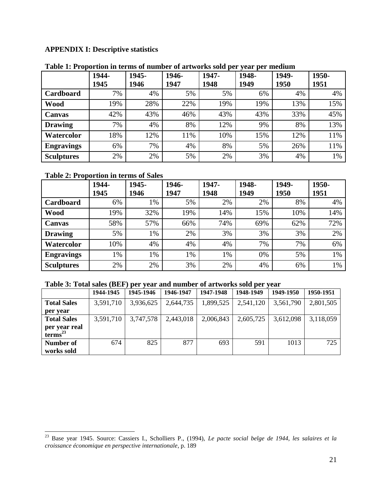## **APPENDIX I: Descriptive statistics**

|                   | 1944-<br>1945 | 1945-<br>1946 | 1946-<br>1947 | 1947-<br>1948 | 1948-<br>1949 | 1949-<br>1950 | 1950-<br>1951 |
|-------------------|---------------|---------------|---------------|---------------|---------------|---------------|---------------|
| Cardboard         | 7%            | 4%            | 5%            | 5%            | 6%            | 4%            | 4%            |
| <b>Wood</b>       | 19%           | 28%           | 22%           | 19%           | 19%           | 13%           | 15%           |
| <b>Canvas</b>     | 42%           | 43%           | 46%           | 43%           | 43%           | 33%           | 45%           |
| <b>Drawing</b>    | 7%            | 4%            | 8%            | 12%           | 9%            | 8%            | 13%           |
| Watercolor        | 18%           | 12%           | 11%           | 10%           | 15%           | 12%           | 11%           |
| <b>Engravings</b> | 6%            | 7%            | 4%            | 8%            | 5%            | 26%           | 11%           |
| <b>Sculptures</b> | 2%            | 2%            | 5%            | 2%            | 3%            | 4%            | 1%            |

#### **Table 1: Proportion in terms of number of artworks sold per year per medium**

### **Table 2: Proportion in terms of Sales**

|                   | 1944-<br>1945 | 1945-<br>1946 | 1946-<br>1947 | 1947-<br>1948 | 1948-<br>1949 | 1949-<br>1950 | 1950-<br>1951 |
|-------------------|---------------|---------------|---------------|---------------|---------------|---------------|---------------|
| <b>Cardboard</b>  | 6%            | 1%            | 5%            | 2%            | 2%            | 8%            | 4%            |
| <b>Wood</b>       | 19%           | 32%           | 19%           | 14%           | 15%           | 10%           | 14%           |
| <b>Canvas</b>     | 58%           | 57%           | 66%           | 74%           | 69%           | 62%           | 72%           |
| <b>Drawing</b>    | 5%            | 1%            | 2%            | 3%            | 3%            | 3%            | 2%            |
| Watercolor        | 10%           | 4%            | 4%            | 4%            | 7%            | 7%            | 6%            |
| <b>Engravings</b> | 1%            | 1%            | 1%            | 1%            | 0%            | 5%            | 1%            |
| <b>Sculptures</b> | 2%            | 2%            | 3%            | 2%            | 4%            | 6%            | 1%            |

### **Table 3: Total sales (BEF) per year and number of artworks sold per year**

|                                      | 1944-1945 | 1945-1946 | 1946-1947 | 1947-1948 | 1948-1949 | 1949-1950 | 1950-1951 |
|--------------------------------------|-----------|-----------|-----------|-----------|-----------|-----------|-----------|
| <b>Total Sales</b>                   | 3,591,710 | 3,936,625 | 2,644,735 | 1,899,525 | 2,541,120 | 3,561,790 | 2,801,505 |
| per year                             |           |           |           |           |           |           |           |
| <b>Total Sales</b>                   | 3,591,710 | 3,747,578 | 2,443,018 | 2,006,843 | 2,605,725 | 3,612,098 | 3,118,059 |
| per year real<br>terms <sup>23</sup> |           |           |           |           |           |           |           |
| Number of                            | 674       | 825       | 877       | 693       | 591       | 1013      | 725       |
| works sold                           |           |           |           |           |           |           |           |

<sup>23</sup> Base year 1945. Source: Cassiers I., Scholliers P., (1994), *Le pacte social belge de 1944, les salaires et la croissance économique en perspective internationale*, p. 189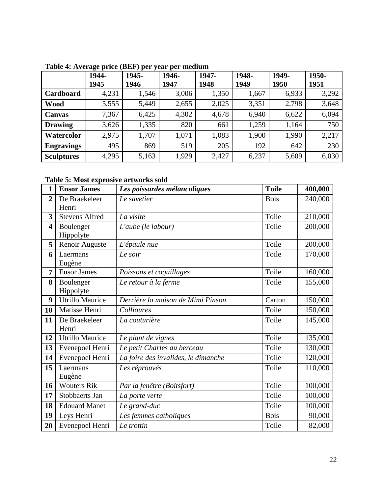|                   | 1944- | 1945- | 1946- | 1947- | 1948- | 1949- | 1950- |
|-------------------|-------|-------|-------|-------|-------|-------|-------|
|                   | 1945  | 1946  | 1947  | 1948  | 1949  | 1950  | 1951  |
| Cardboard         | 4,231 | 1,546 | 3,006 | 1,350 | 1,667 | 6,933 | 3,292 |
| <b>Wood</b>       | 5,555 | 5,449 | 2,655 | 2,025 | 3,351 | 2,798 | 3,648 |
| <b>Canvas</b>     | 7,367 | 6,425 | 4,302 | 4,678 | 6,940 | 6,622 | 6,094 |
| <b>Drawing</b>    | 3,626 | 1,335 | 820   | 661   | 1,259 | 1,164 | 750   |
| Watercolor        | 2,975 | 1,707 | 1,071 | 1,083 | 1,900 | 1,990 | 2,217 |
| <b>Engravings</b> | 495   | 869   | 519   | 205   | 192   | 642   | 230   |
| <b>Sculptures</b> | 4,295 | 5,163 | 1,929 | 2,427 | 6,237 | 5,609 | 6,030 |

**Table 4: Average price (BEF) per year per medium** 

**Table 5: Most expensive artworks sold** 

| $\mathbf{1}$            | <b>Ensor James</b>     | Les poissardes mélancoliques        | <b>Toile</b> | 400,000 |
|-------------------------|------------------------|-------------------------------------|--------------|---------|
| $\overline{2}$          | De Braekeleer          | Le savetier                         | <b>Bois</b>  | 240,000 |
|                         | Henri                  |                                     |              |         |
| $\overline{\mathbf{3}}$ | <b>Stevens Alfred</b>  | La visite                           | Toile        | 210,000 |
| $\overline{\mathbf{4}}$ | Boulenger              | L'aube (le labour)                  | Toile        | 200,000 |
|                         | Hippolyte              |                                     |              |         |
| 5                       | Renoir Auguste         | L'épaule nue                        | Toile        | 200,000 |
| 6                       | Laermans               | Le soir                             | Toile        | 170,000 |
|                         | Eugène                 |                                     |              |         |
| $\overline{7}$          | <b>Ensor James</b>     | Poissons et coquillages             | Toile        | 160,000 |
| 8                       | Boulenger              | Le retour à la ferme                | Toile        | 155,000 |
|                         | Hippolyte              |                                     |              |         |
| 9                       | Utrillo Maurice        | Derrière la maison de Mimi Pinson   | Carton       | 150,000 |
| 10                      | Matisse Henri          | Collioures                          | Toile        | 150,000 |
| 11                      | De Braekeleer          | La couturière                       | Toile        | 145,000 |
|                         | Henri                  |                                     |              |         |
| 12                      | <b>Utrillo Maurice</b> | Le plant de vignes                  | Toile        | 135,000 |
| 13                      | Evenepoel Henri        | Le petit Charles au berceau         | Toile        | 130,000 |
| 14                      | Evenepoel Henri        | La foire des invalides, le dimanche | Toile        | 120,000 |
| 15                      | Laermans               | Les réprouvés                       | Toile        | 110,000 |
|                         | Eugène                 |                                     |              |         |
| 16                      | <b>Wouters Rik</b>     | Par la fenêtre (Boitsfort)          | Toile        | 100,000 |
| 17                      | Stobbaerts Jan         | La porte verte                      | Toile        | 100,000 |
| 18                      | <b>Edouard Manet</b>   | Le grand-duc                        | Toile        | 100,000 |
| 19                      | Leys Henri             | Les femmes catholiques              | <b>Bois</b>  | 90,000  |
| 20                      | Evenepoel Henri        | Le trottin                          | Toile        | 82,000  |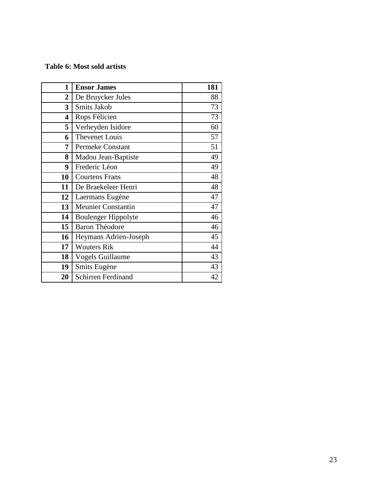## **Table 6: Most sold artists**

| $\mathbf{1}$   | <b>Ensor James</b>        | 181 |
|----------------|---------------------------|-----|
| $\overline{2}$ | De Bruycker Jules         | 88  |
| 3              | Smits Jakob               | 73  |
| 4              | Rops Félicien             | 73  |
| 5              | Verheyden Isidore         | 60  |
| 6              | <b>Thevenet Louis</b>     | 57  |
| 7              | Permeke Constant          | 51  |
| 8              | Madou Jean-Baptiste       | 49  |
| 9              | Frederic Léon             | 49  |
| 10             | <b>Courtens Frans</b>     | 48  |
| 11             | De Braekeleer Henri       | 48  |
| 12             | Laermans Eugène           | 47  |
| 13             | <b>Meunier Constantin</b> | 47  |
| 14             | Boulenger Hippolyte       | 46  |
| 15             | <b>Baron Théodore</b>     | 46  |
| 16             | Heymans Adrien-Joseph     | 45  |
| 17             | <b>Wouters Rik</b>        | 44  |
| 18             | <b>Vogels Guillaume</b>   | 43  |
| 19             | Smits Eugène              | 43  |
| 20             | <b>Schirren Ferdinand</b> | 42  |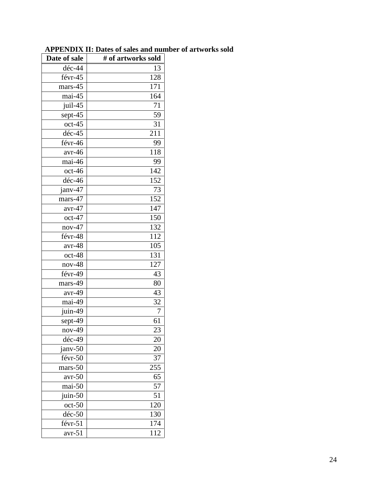| déc-44<br>13<br>$\overline{1}28$<br>févr-45<br>mars-45<br>171<br>mai-45<br>164<br>juil-45<br>71<br>sept-45<br>59<br>$oct-45$<br>31<br>déc-45<br>211<br>févr-46<br>99<br>118<br>$avr-46$<br>mai-46<br>99<br>142<br>$oct-46$<br>152<br>$d$ éc-46<br>janv-47<br>73<br>mars-47<br>152<br>147<br>$avr-47$<br>oct-47<br>150<br>132<br>$nov-47$<br>févr-48<br>112<br>$avr-48$<br>105<br>oct-48<br>131<br>$nov-48$<br>127<br>févr-49<br>43<br>mars-49<br>80<br>43<br>avr-49<br>mai-49<br>32<br>juin-49<br>7<br>sept-49<br>61<br>23<br>$nov-49$<br>déc-49<br>20<br>janv-50<br>20<br>févr-50<br>37<br>255<br>mars-50<br>65<br>$avr-50$<br>mai-50<br>57<br>51<br>juin-50<br>120<br>$oct-50$<br>$dec-50$<br>130<br>févr-51<br>174<br>avr-51<br>112 | Date of sale | # of artworks sold |
|----------------------------------------------------------------------------------------------------------------------------------------------------------------------------------------------------------------------------------------------------------------------------------------------------------------------------------------------------------------------------------------------------------------------------------------------------------------------------------------------------------------------------------------------------------------------------------------------------------------------------------------------------------------------------------------------------------------------------------------|--------------|--------------------|
|                                                                                                                                                                                                                                                                                                                                                                                                                                                                                                                                                                                                                                                                                                                                        |              |                    |
|                                                                                                                                                                                                                                                                                                                                                                                                                                                                                                                                                                                                                                                                                                                                        |              |                    |
|                                                                                                                                                                                                                                                                                                                                                                                                                                                                                                                                                                                                                                                                                                                                        |              |                    |
|                                                                                                                                                                                                                                                                                                                                                                                                                                                                                                                                                                                                                                                                                                                                        |              |                    |
|                                                                                                                                                                                                                                                                                                                                                                                                                                                                                                                                                                                                                                                                                                                                        |              |                    |
|                                                                                                                                                                                                                                                                                                                                                                                                                                                                                                                                                                                                                                                                                                                                        |              |                    |
|                                                                                                                                                                                                                                                                                                                                                                                                                                                                                                                                                                                                                                                                                                                                        |              |                    |
|                                                                                                                                                                                                                                                                                                                                                                                                                                                                                                                                                                                                                                                                                                                                        |              |                    |
|                                                                                                                                                                                                                                                                                                                                                                                                                                                                                                                                                                                                                                                                                                                                        |              |                    |
|                                                                                                                                                                                                                                                                                                                                                                                                                                                                                                                                                                                                                                                                                                                                        |              |                    |
|                                                                                                                                                                                                                                                                                                                                                                                                                                                                                                                                                                                                                                                                                                                                        |              |                    |
|                                                                                                                                                                                                                                                                                                                                                                                                                                                                                                                                                                                                                                                                                                                                        |              |                    |
|                                                                                                                                                                                                                                                                                                                                                                                                                                                                                                                                                                                                                                                                                                                                        |              |                    |
|                                                                                                                                                                                                                                                                                                                                                                                                                                                                                                                                                                                                                                                                                                                                        |              |                    |
|                                                                                                                                                                                                                                                                                                                                                                                                                                                                                                                                                                                                                                                                                                                                        |              |                    |
|                                                                                                                                                                                                                                                                                                                                                                                                                                                                                                                                                                                                                                                                                                                                        |              |                    |
|                                                                                                                                                                                                                                                                                                                                                                                                                                                                                                                                                                                                                                                                                                                                        |              |                    |
|                                                                                                                                                                                                                                                                                                                                                                                                                                                                                                                                                                                                                                                                                                                                        |              |                    |
|                                                                                                                                                                                                                                                                                                                                                                                                                                                                                                                                                                                                                                                                                                                                        |              |                    |
|                                                                                                                                                                                                                                                                                                                                                                                                                                                                                                                                                                                                                                                                                                                                        |              |                    |
|                                                                                                                                                                                                                                                                                                                                                                                                                                                                                                                                                                                                                                                                                                                                        |              |                    |
|                                                                                                                                                                                                                                                                                                                                                                                                                                                                                                                                                                                                                                                                                                                                        |              |                    |
|                                                                                                                                                                                                                                                                                                                                                                                                                                                                                                                                                                                                                                                                                                                                        |              |                    |
|                                                                                                                                                                                                                                                                                                                                                                                                                                                                                                                                                                                                                                                                                                                                        |              |                    |
|                                                                                                                                                                                                                                                                                                                                                                                                                                                                                                                                                                                                                                                                                                                                        |              |                    |
|                                                                                                                                                                                                                                                                                                                                                                                                                                                                                                                                                                                                                                                                                                                                        |              |                    |
|                                                                                                                                                                                                                                                                                                                                                                                                                                                                                                                                                                                                                                                                                                                                        |              |                    |
|                                                                                                                                                                                                                                                                                                                                                                                                                                                                                                                                                                                                                                                                                                                                        |              |                    |
|                                                                                                                                                                                                                                                                                                                                                                                                                                                                                                                                                                                                                                                                                                                                        |              |                    |
|                                                                                                                                                                                                                                                                                                                                                                                                                                                                                                                                                                                                                                                                                                                                        |              |                    |
|                                                                                                                                                                                                                                                                                                                                                                                                                                                                                                                                                                                                                                                                                                                                        |              |                    |
|                                                                                                                                                                                                                                                                                                                                                                                                                                                                                                                                                                                                                                                                                                                                        |              |                    |
|                                                                                                                                                                                                                                                                                                                                                                                                                                                                                                                                                                                                                                                                                                                                        |              |                    |
|                                                                                                                                                                                                                                                                                                                                                                                                                                                                                                                                                                                                                                                                                                                                        |              |                    |
|                                                                                                                                                                                                                                                                                                                                                                                                                                                                                                                                                                                                                                                                                                                                        |              |                    |
|                                                                                                                                                                                                                                                                                                                                                                                                                                                                                                                                                                                                                                                                                                                                        |              |                    |
|                                                                                                                                                                                                                                                                                                                                                                                                                                                                                                                                                                                                                                                                                                                                        |              |                    |
|                                                                                                                                                                                                                                                                                                                                                                                                                                                                                                                                                                                                                                                                                                                                        |              |                    |
|                                                                                                                                                                                                                                                                                                                                                                                                                                                                                                                                                                                                                                                                                                                                        |              |                    |
|                                                                                                                                                                                                                                                                                                                                                                                                                                                                                                                                                                                                                                                                                                                                        |              |                    |

#### **APPENDIX II: Dates of sales and number of artworks sold**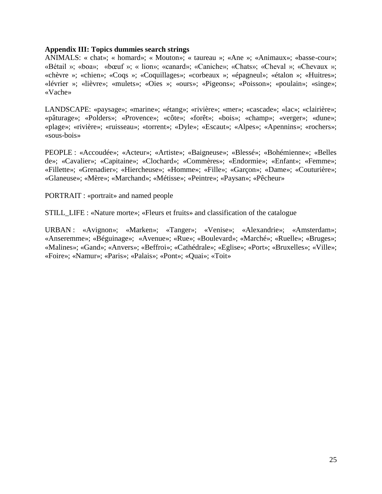#### **Appendix III: Topics dummies search strings**

ANIMALS: « chat»; « homard»; « Mouton»; « taureau »; «Ane »; «Animaux»; «basse-cour»; «Bétail »; «boa»; «bœuf »; « lion»; «canard»; «Caniche»; «Chats»; «Cheval »; «Chevaux »; «chèvre »; «chien»; «Coqs »; «Coquillages»; «corbeaux »; «épagneul»; «étalon »; «Huitres»; «lévrier »; «lièvre»; «mulets»; «Oies »; «ours»; «Pigeons»; «Poisson»; «poulain»; «singe»; «Vache»

LANDSCAPE: «paysage»; «marine»; «étang»; «rivière»; «mer»; «cascade»; «lac»; «clairière»; «pâturage»; «Polders»; «Provence»; «côte»; «forêt»; «bois»; «champ»; «verger»; «dune»; «plage»; «rivière»; «ruisseau»; «torrent»; «Dyle»; «Escaut»; «Alpes»; «Apennins»; «rochers»; «sous-bois»

PEOPLE : «Accoudée»; «Acteur»; «Artiste»; «Baigneuse»; «Blessé»; «Bohémienne»; «Belles de»; «Cavalier»; «Capitaine»; «Clochard»; «Commères»; «Endormie»; «Enfant»; «Femme»; «Fillette»; «Grenadier»; «Hiercheuse»; «Homme»; «Fille»; «Garçon»; «Dame»; «Couturière»; «Glaneuse»; «Mère»; «Marchand»; «Métisse»; «Peintre»; «Paysan»; «Pêcheur»

PORTRAIT : «portrait» and named people

STILL\_LIFE : «Nature morte»; «Fleurs et fruits» and classification of the catalogue

URBAN : «Avignon»; «Marken»; «Tanger»; «Venise»; «Alexandrie»; «Amsterdam»; «Anseremme»; «Béguinage»; «Avenue»; «Rue»; «Boulevard»; «Marché»; «Ruelle»; «Bruges»; «Malines»; «Gand»; «Anvers»; «Beffroi»; «Cathédrale»; «Eglise»; «Port»; «Bruxelles»; «Ville»; «Foire»; «Namur»; «Paris»; «Palais»; «Pont»; «Quai»; «Toit»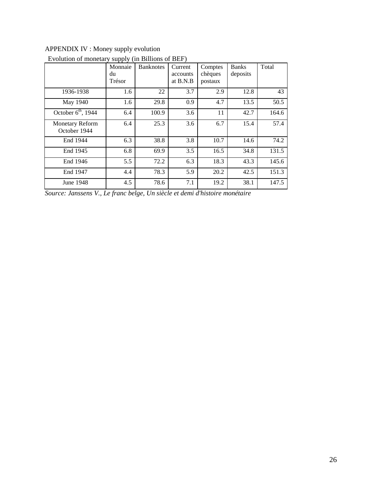# APPENDIX IV : Money supply evolution

|                                        | 11 V V<br>Monnaie | <b>Banknotes</b> | Current  | Comptes | <b>Banks</b> | Total |
|----------------------------------------|-------------------|------------------|----------|---------|--------------|-------|
|                                        | du                |                  | accounts | chèques | deposits     |       |
|                                        | Trésor            |                  | at B.N.B | postaux |              |       |
| 1936-1938                              | 1.6               | 22               | 3.7      | 2.9     | 12.8         | 43    |
| May 1940                               | 1.6               | 29.8             | 0.9      | 4.7     | 13.5         | 50.5  |
| October $6th$ , 1944                   | 6.4               | 100.9            | 3.6      | 11      | 42.7         | 164.6 |
| <b>Monetary Reform</b><br>October 1944 | 6.4               | 25.3             | 3.6      | 6.7     | 15.4         | 57.4  |
| End 1944                               | 6.3               | 38.8             | 3.8      | 10.7    | 14.6         | 74.2  |
| End 1945                               | 6.8               | 69.9             | 3.5      | 16.5    | 34.8         | 131.5 |
| End 1946                               | 5.5               | 72.2             | 6.3      | 18.3    | 43.3         | 145.6 |
| End 1947                               | 4.4               | 78.3             | 5.9      | 20.2    | 42.5         | 151.3 |
| June 1948                              | 4.5               | 78.6             | 7.1      | 19.2    | 38.1         | 147.5 |

## Evolution of monetary supply (in Billions of BEF)

*Source: Janssens V., Le franc belge, Un siècle et demi d'histoire monétaire*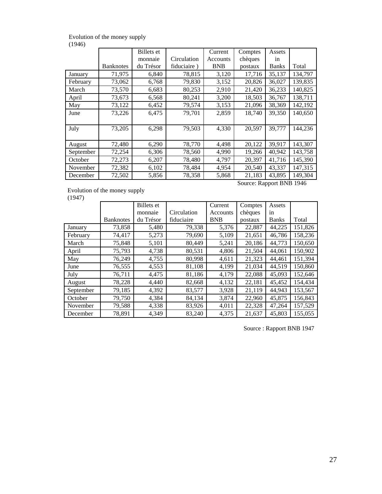#### Evolution of the money supply  $(1946)$

| $\cdots$  |                  |            |             |            |                          |              |         |
|-----------|------------------|------------|-------------|------------|--------------------------|--------------|---------|
|           |                  | Billets et |             | Current    | Comptes                  | Assets       |         |
|           |                  | monnaie    | Circulation | Accounts   | chèques                  | in           |         |
|           | <b>Banknotes</b> | du Trésor  | fiduciaire) | <b>BNB</b> | postaux                  | <b>Banks</b> | Total   |
| January   | 71,975           | 6,840      | 78,815      | 3,120      | 17,716                   | 35,137       | 134,797 |
| February  | 73,062           | 6,768      | 79,830      | 3,152      | 20,826                   | 36,027       | 139,835 |
| March     | 73,570           | 6,683      | 80,253      | 2,910      | 21,420                   | 36,233       | 140,825 |
| April     | 73,673           | 6,568      | 80,241      | 3,200      | 18,503                   | 36,767       | 138,711 |
| May       | 73,122           | 6,452      | 79,574      | 3,153      | 21,096                   | 38,369       | 142,192 |
| June      | 73,226           | 6,475      | 79,701      | 2,859      | 18,740                   | 39,350       | 140,650 |
|           |                  |            |             |            |                          |              |         |
| July      | 73,205           | 6,298      | 79,503      | 4,330      | 20,597                   | 39,777       | 144,236 |
|           |                  |            |             |            |                          |              |         |
| August    | 72,480           | 6,290      | 78,770      | 4,498      | 20,122                   | 39,917       | 143,307 |
| September | 72,254           | 6,306      | 78,560      | 4,990      | 19,266                   | 40,942       | 143,758 |
| October   | 72,273           | 6,207      | 78,480      | 4,797      | 20,397                   | 41,716       | 145,390 |
| November  | 72,382           | 6,102      | 78,484      | 4,954      | 20,540                   | 43,337       | 147,315 |
| December  | 72,502           | 5,856      | 78,358      | 5,868      | 21,183                   | 43,895       | 149,304 |
|           |                  |            |             |            | Source: Rapport BNB 1946 |              |         |

Evolution of the money supply

(1947)

Banknotes Billets et monnaie du Trésor Circulation fiduciaire **Current** Accounts BNB **Comptes** chèques postaux Assets in Banks Total January 73,858 5,480 79,338 5,376 22,887 44,225 151,826 February | 74,417 | 5,273 | 79,690 | 5,109 | 21,651 | 46,786 | 158,236 March | 75,848 | 5,101 | 80,449 | 5,241 | 20,186 | 44,773 | 150,650 April 150,902 4,738 80,531 4,806 21,504 44,061 150,902 May 76,249 4,755 80,998 4,611 21,323 44,461 151,394 June 1 76,555 4,553 81,108 4,199 21,034 44,519 150,860 July 76,711 4,475 81,186 4,179 22,088 45,093 152,646 August | 78,228 | 4,440 | 82,668 | 4,132 | 22,181 | 45,452 | 154,434 September 79,185 4,392 83,577 3,928 21,119 44,943 153,567 October | 79,750 | 4,384 | 84,134 | 3,874 | 22,960 | 45,875 | 156,843 November 79,588 4,338 83,926 4,011 22,328 47,264 157,529 December 78,891 4,349 83,240 4,375 21,637 45,803 155,055

Source : Rapport BNB 1947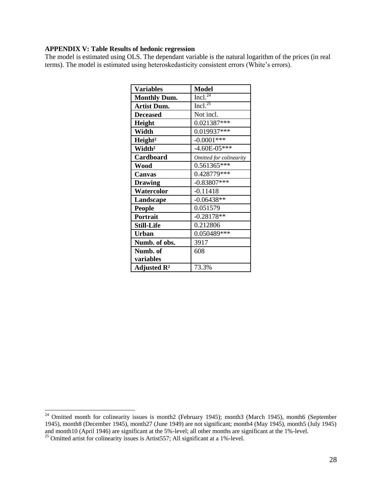#### **APPENDIX V: Table Results of hedonic regression**

The model is estimated using OLS. The dependant variable is the natural logarithm of the prices (in real terms). The model is estimated using heteroskedasticity consistent errors (White's errors).

| <b>Variables</b>        | <b>Model</b>                   |
|-------------------------|--------------------------------|
| <b>Monthly Dum.</b>     | $\overline{\text{Incl.}^{24}}$ |
| <b>Artist Dum.</b>      | Incl. <sup>25</sup>            |
| <b>Deceased</b>         | Not incl.                      |
| Height                  | 0.021387***                    |
| Width                   | $0.019937***$                  |
| Height <sup>2</sup>     | $-0.0001***$                   |
| Width <sup>2</sup>      | $-4.60E - 05***$               |
| Cardboard               | Omitted for colinearity        |
| Wood                    | 0.561365***                    |
| Canvas                  | 0.428779***                    |
| <b>Drawing</b>          | $-0.83807***$                  |
| Watercolor              | $-0.11418$                     |
| Landscape               | $-0.06438**$                   |
| <b>People</b>           | 0.051579                       |
| Portrait                | $-0.28178**$                   |
| <b>Still-Life</b>       | 0.212806                       |
| <b>Urban</b>            | 0.050489***                    |
| Numb. of obs.           | 3917                           |
| Numb. of                | 608                            |
| variables               |                                |
| Adjusted $\mathbb{R}^2$ | 73.3%                          |

<sup>&</sup>lt;sup>24</sup> Omitted month for colinearity issues is month2 (February 1945); month3 (March 1945), month6 (September 1945), month8 (December 1945), month27 (June 1949) are not significant; month4 (May 1945), month5 (July 1945) and month10 (April 1946) are significant at the 5%-level; all other months are significant at the 1%-level.

 $^{25}$  Omitted artist for colinearity issues is Artist 557; All significant at a 1%-level.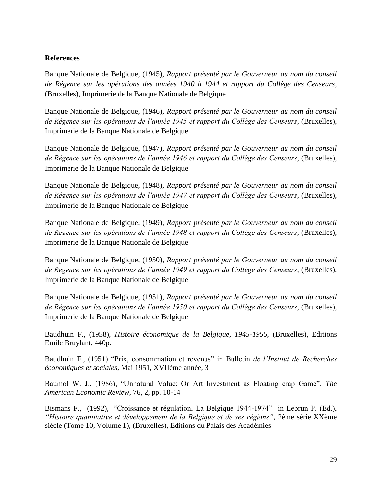### **References**

Banque Nationale de Belgique, (1945), *Rapport présenté par le Gouverneur au nom du conseil de Régence sur les opérations des années 1940 à 1944 et rapport du Collège des Censeurs*, (Bruxelles), Imprimerie de la Banque Nationale de Belgique

Banque Nationale de Belgique, (1946), *Rapport présenté par le Gouverneur au nom du conseil de Régence sur les opérations de l'année 1945 et rapport du Collège des Censeurs*, (Bruxelles), Imprimerie de la Banque Nationale de Belgique

Banque Nationale de Belgique, (1947), *Rapport présenté par le Gouverneur au nom du conseil de Régence sur les opérations de l'année 1946 et rapport du Collège des Censeurs*, (Bruxelles), Imprimerie de la Banque Nationale de Belgique

Banque Nationale de Belgique, (1948), *Rapport présenté par le Gouverneur au nom du conseil de Régence sur les opérations de l'année 1947 et rapport du Collège des Censeurs*, (Bruxelles), Imprimerie de la Banque Nationale de Belgique

Banque Nationale de Belgique, (1949), *Rapport présenté par le Gouverneur au nom du conseil de Régence sur les opérations de l'année 1948 et rapport du Collège des Censeurs*, (Bruxelles), Imprimerie de la Banque Nationale de Belgique

Banque Nationale de Belgique, (1950), *Rapport présenté par le Gouverneur au nom du conseil de Régence sur les opérations de l'année 1949 et rapport du Collège des Censeurs*, (Bruxelles), Imprimerie de la Banque Nationale de Belgique

Banque Nationale de Belgique, (1951), *Rapport présenté par le Gouverneur au nom du conseil de Régence sur les opérations de l'année 1950 et rapport du Collège des Censeurs*, (Bruxelles), Imprimerie de la Banque Nationale de Belgique

Baudhuin F., (1958), *Histoire économique de la Belgique, 1945-1956*, (Bruxelles), Editions Emile Bruylant, 440p.

Baudhuin F., (1951) "Prix, consommation et revenus" in Bulletin *de l'Institut de Recherches économiques et sociales*, Mai 1951, XVIIème année, 3

Baumol W. J., (1986), "Unnatural Value: Or Art Investment as Floating crap Game", *The American Economic Review*, 76, 2, pp. 10-14

Bismans F., (1992), "Croissance et régulation, La Belgique 1944-1974" in Lebrun P. (Ed.), *"Histoire quantitative et développement de la Belgique et de ses régions"*, 2ème série XXème siècle (Tome 10, Volume 1), (Bruxelles), Editions du Palais des Académies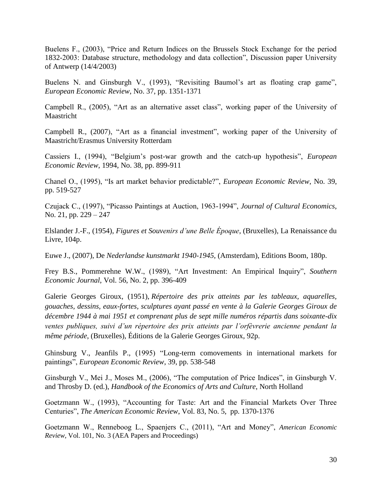Buelens F., (2003), "Price and Return Indices on the Brussels Stock Exchange for the period 1832-2003: Database structure, methodology and data collection", Discussion paper University of Antwerp (14/4/2003)

Buelens N. and Ginsburgh V., (1993), "Revisiting Baumol's art as floating crap game", *European Economic Review*, No. 37, pp. 1351-1371

Campbell R., (2005), "Art as an alternative asset class", working paper of the University of Maastricht

Campbell R., (2007), "Art as a financial investment", working paper of the University of Maastricht/Erasmus University Rotterdam

Cassiers I., (1994), "Belgium's post-war growth and the catch-up hypothesis", *European Economic Review*, 1994, No. 38, pp. 899-911

Chanel O., (1995), "Is art market behavior predictable?", *European Economic Review*, No. 39, pp. 519-527

Czujack C., (1997), "Picasso Paintings at Auction, 1963-1994", *Journal of Cultural Economics*, No. 21, pp. 229 – 247

Elslander J.-F., (1954), *Figures et Souvenirs d'une Belle Époque*, (Bruxelles), La Renaissance du Livre, 104p.

Euwe J., (2007), De *Nederlandse kunstmarkt 1940-1945*, (Amsterdam), Editions Boom, 180p.

Frey B.S., Pommerehne W.W., (1989), "Art Investment: An Empirical Inquiry", *Southern Economic Journal*, Vol. 56, No. 2, pp. 396-409

Galerie Georges Giroux, (1951), *Répertoire des prix atteints par les tableaux, aquarelles, gouaches, dessins, eaux-fortes, sculptures ayant passé en vente à la Galerie Georges Giroux de décembre 1944 à mai 1951 et comprenant plus de sept mille numéros répartis dans soixante-dix ventes publiques, suivi d'un répertoire des prix atteints par l'orfèvrerie ancienne pendant la même période*, (Bruxelles), Éditions de la Galerie Georges Giroux, 92p.

Ghinsburg V., Jeanfils P., (1995) "Long-term comovements in international markets for paintings", *European Economic Review*, 39, pp. 538-548

Ginsburgh V., Mei J., Moses M., (2006), "The computation of Price Indices", in Ginsburgh V. and Throsby D. (ed.), *Handbook of the Economics of Arts and Culture*, North Holland

Goetzmann W., (1993), "Accounting for Taste: Art and the Financial Markets Over Three Centuries", *The American Economic Review*, Vol. 83, No. 5, pp. 1370-1376

Goetzmann W., Renneboog L., Spaenjers C., (2011), "Art and Money", *American Economic Review*, Vol. 101, No. 3 (AEA Papers and Proceedings)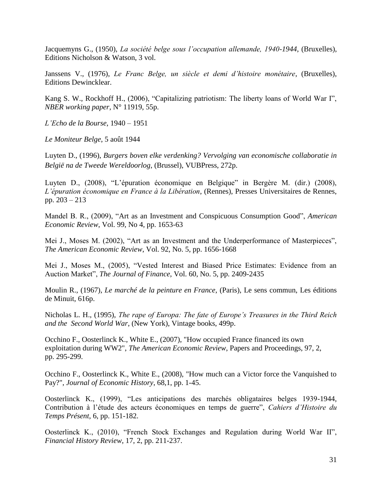Jacquemyns G., (1950), *La société belge sous l'occupation allemande, 1940-1944*, (Bruxelles), Editions Nicholson & Watson, 3 vol.

Janssens V., (1976), *Le Franc Belge, un siècle et demi d'histoire monétaire*, (Bruxelles), Editions Dewincklear.

Kang S. W., Rockhoff H., (2006), "Capitalizing patriotism: The liberty loans of World War I", *NBER working paper*, N° 11919, 55p.

*L'Echo de la Bourse*, 1940 – 1951

*Le Moniteur Belge*, 5 août 1944

Luyten D., (1996), *Burgers boven elke verdenking? Vervolging van economische collaboratie in België na de Tweede Wereldoorlog*, (Brussel), VUBPress, 272p.

Luyten D., (2008), "L'épuration économique en Belgique" in Bergère M. (dir.) (2008), *L'épuration économique en France à la Libération*, (Rennes), Presses Universitaires de Rennes, pp. 203 – 213

Mandel B. R., (2009), "Art as an Investment and Conspicuous Consumption Good", *American Economic Review*, Vol. 99, No 4, pp. 1653-63

Mei J., Moses M. (2002), "Art as an Investment and the Underperformance of Masterpieces", *The American Economic Review*, Vol. 92, No. 5, pp. 1656-1668

Mei J., Moses M., (2005), "Vested Interest and Biased Price Estimates: Evidence from an Auction Market", *The Journal of Finance*, Vol. 60, No. 5, pp. 2409-2435

Moulin R., (1967), *Le marché de la peinture en France*, (Paris), Le sens commun, Les éditions de Minuit, 616p.

Nicholas L. H., (1995), *The rape of Europa: The fate of Europe's Treasures in the Third Reich and the Second World War*, (New York), Vintage books, 499p.

Occhino F., Oosterlinck K., White E., (2007), "How occupied France financed its own exploitation during WW2", *The American Economic Review*, Papers and Proceedings, 97, 2, pp. 295-299.

Occhino F., Oosterlinck K., White E., (2008), "How much can a Victor force the Vanquished to Pay?", *Journal of Economic History*, 68,1, pp. 1-45.

Oosterlinck K., (1999), "Les anticipations des marchés obligataires belges 1939-1944, Contribution à l'étude des acteurs économiques en temps de guerre", *Cahiers d'Histoire du Temps Présent*, 6, pp. 151-182.

Oosterlinck K., (2010), "French Stock Exchanges and Regulation during World War II", *Financial History Review*, 17, 2, pp. 211-237.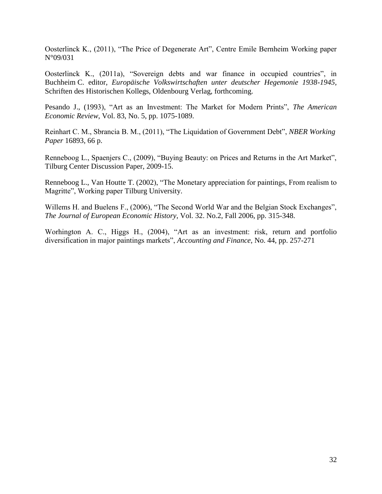Oosterlinck K., (2011), "The Price of Degenerate Art", Centre Emile Bernheim Working paper N°09/031

Oosterlinck K., (2011a), "Sovereign debts and war finance in occupied countries", in Buchheim C. editor, *Europäische Volkswirtschaften unter deutscher Hegemonie 1938-1945,*  Schriften des Historischen Kollegs, Oldenbourg Verlag, forthcoming.

Pesando J., (1993), "Art as an Investment: The Market for Modern Prints", *The American Economic Review*, Vol. 83, No. 5, pp. 1075-1089.

Reinhart C. M., Sbrancia B. M., (2011), "The Liquidation of Government Debt", *NBER Working Paper* 16893, 66 p.

Renneboog L., Spaenjers C., (2009), "Buying Beauty: on Prices and Returns in the Art Market", Tilburg Center Discussion Paper, 2009-15.

Renneboog L., Van Houtte T. (2002), "The Monetary appreciation for paintings, From realism to Magritte", Working paper Tilburg University.

Willems H. and Buelens F., (2006), "The Second World War and the Belgian Stock Exchanges", *The Journal of European Economic History*, Vol. 32. No.2, Fall 2006, pp. 315-348.

Worhington A. C., Higgs H., (2004), "Art as an investment: risk, return and portfolio diversification in major paintings markets", *Accounting and Finance*, No. 44, pp. 257-271